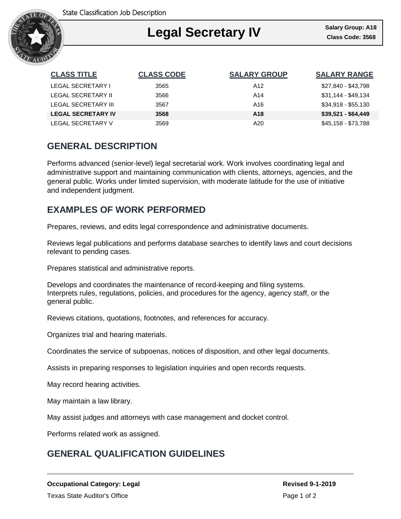

### Ι **Legal Secretary IV**

| <b>CLASS TITLE</b>        | <b>CLASS CODE</b> | <b>SALARY GROUP</b> | <b>SALARY RANGE</b> |
|---------------------------|-------------------|---------------------|---------------------|
| LEGAL SECRETARY I         | 3565              | A12                 | \$27,840 - \$43,798 |
| LEGAL SECRETARY II        | 3566              | A14                 | $$31,144 - $49,134$ |
| LEGAL SECRETARY III       | 3567              | A16                 | $$34.918 - $55.130$ |
| <b>LEGAL SECRETARY IV</b> | 3568              | A <sub>18</sub>     | $$39,521 - $64,449$ |
| LEGAL SECRETARY V         | 3569              | A20                 | \$45,158 - \$73,788 |

## **GENERAL DESCRIPTION**

Performs advanced (senior-level) legal secretarial work. Work involves coordinating legal and administrative support and maintaining communication with clients, attorneys, agencies, and the general public. Works under limited supervision, with moderate latitude for the use of initiative and independent judgment.

## **EXAMPLES OF WORK PERFORMED**

Prepares, reviews, and edits legal correspondence and administrative documents.

Reviews legal publications and performs database searches to identify laws and court decisions relevant to pending cases.

Prepares statistical and administrative reports.

Develops and coordinates the maintenance of record-keeping and filing systems. Interprets rules, regulations, policies, and procedures for the agency, agency staff, or the general public.

Reviews citations, quotations, footnotes, and references for accuracy.

Organizes trial and hearing materials.

Coordinates the service of subpoenas, notices of disposition, and other legal documents.

Assists in preparing responses to legislation inquiries and open records requests.

May record hearing activities.

May maintain a law library.

May assist judges and attorneys with case management and docket control.

Performs related work as assigned.

# **GENERAL QUALIFICATION GUIDELINES**